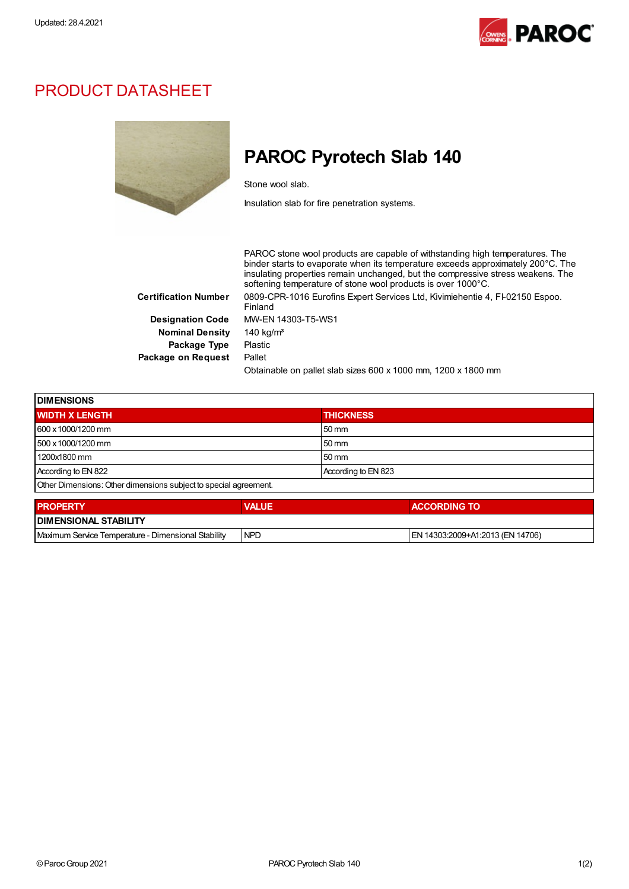

## PRODUCT DATASHEET



## PAROC Pyrotech Slab 140

Stone wool slab.

Insulation slab for fire penetration systems.

PAROC stone wool products are capable of withstanding high temperatures. The binder starts to evaporate when its temperature exceeds approximately 200°C. The insulating properties remain unchanged, but the compressive stress weakens. The softening temperature of stone wool products is over 1000°C. Certification Number 0809-CPR-1016 Eurofins Expert Services Ltd, Kivimiehentie 4, FI-02150 Espoo. Finland Designation Code MW-EN 14303-T5-WS1 Nominal Density 140 kg/m<sup>3</sup> Package Type Plastic Package on Request Pallet Obtainable on pallet slab sizes 600 x 1000 mm, 1200 x 1800 mm

| <b>DIMENSIONS</b>                                                |                     |  |
|------------------------------------------------------------------|---------------------|--|
| <b>WIDTH X LENGTH</b>                                            | <b>THICKNESS</b>    |  |
| 600 x 1000/1200 mm                                               | 50 mm               |  |
| 500 x 1000/1200 mm                                               | 50 mm               |  |
| 1200x1800 mm                                                     | 50 mm               |  |
| According to EN 822                                              | According to EN 823 |  |
| Other Dimensions: Other dimensions subject to special agreement. |                     |  |

| <b>PROPERTY</b>                                     | <b>VALUE</b> | <b>ACCORDING TO</b>              |  |
|-----------------------------------------------------|--------------|----------------------------------|--|
| <b>I DIMENSIONAL STABILITY</b>                      |              |                                  |  |
| Maximum Service Temperature - Dimensional Stability | <b>NPD</b>   | EN 14303:2009+A1:2013 (EN 14706) |  |